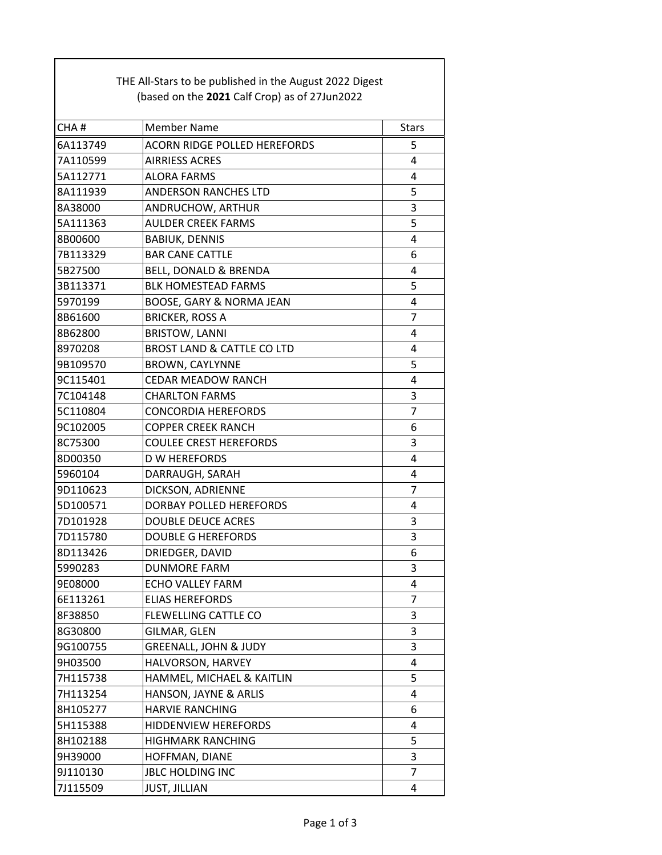| THE All-Stars to be published in the August 2022 Digest |                                               |                |  |  |
|---------------------------------------------------------|-----------------------------------------------|----------------|--|--|
|                                                         | (based on the 2021 Calf Crop) as of 27Jun2022 |                |  |  |
| CHA#                                                    | <b>Member Name</b>                            | <b>Stars</b>   |  |  |
| 6A113749                                                | <b>ACORN RIDGE POLLED HEREFORDS</b>           | 5              |  |  |
| 7A110599                                                | <b>AIRRIESS ACRES</b>                         | 4              |  |  |
| 5A112771                                                | ALORA FARMS                                   | 4              |  |  |
| 8A111939                                                | <b>ANDERSON RANCHES LTD</b>                   | 5              |  |  |
| 8A38000                                                 | ANDRUCHOW, ARTHUR                             | 3              |  |  |
| 5A111363                                                | <b>AULDER CREEK FARMS</b>                     | 5              |  |  |
| 8B00600                                                 | <b>BABIUK, DENNIS</b>                         | 4              |  |  |
| 7B113329                                                | <b>BAR CANE CATTLE</b>                        | 6              |  |  |
| 5B27500                                                 | BELL, DONALD & BRENDA                         | 4              |  |  |
| 3B113371                                                | <b>BLK HOMESTEAD FARMS</b>                    | 5              |  |  |
| 5970199                                                 | BOOSE, GARY & NORMA JEAN                      | 4              |  |  |
| 8B61600                                                 | <b>BRICKER, ROSS A</b>                        | $\overline{7}$ |  |  |
| 8B62800                                                 | <b>BRISTOW, LANNI</b>                         | 4              |  |  |
| 8970208                                                 | <b>BROST LAND &amp; CATTLE CO LTD</b>         | 4              |  |  |
| 9B109570                                                | <b>BROWN, CAYLYNNE</b>                        | 5              |  |  |
| 9C115401                                                | <b>CEDAR MEADOW RANCH</b>                     | 4              |  |  |
| 7C104148                                                | <b>CHARLTON FARMS</b>                         | 3              |  |  |
| 5C110804                                                | <b>CONCORDIA HEREFORDS</b>                    | $\overline{7}$ |  |  |
| 9C102005                                                | <b>COPPER CREEK RANCH</b>                     | 6              |  |  |
| 8C75300                                                 | <b>COULEE CREST HEREFORDS</b>                 | 3              |  |  |
| 8D00350                                                 | <b>D W HEREFORDS</b>                          | 4              |  |  |
| 5960104                                                 | DARRAUGH, SARAH                               | 4              |  |  |
| 9D110623                                                | DICKSON, ADRIENNE                             | $\overline{7}$ |  |  |
| 5D100571                                                | DORBAY POLLED HEREFORDS                       | 4              |  |  |
| 7D101928                                                | <b>DOUBLE DEUCE ACRES</b>                     | 3              |  |  |
| 7D115780                                                | <b>DOUBLE G HEREFORDS</b>                     | 3              |  |  |
| 8D113426                                                | DRIEDGER, DAVID                               | 6              |  |  |
| 5990283                                                 | <b>DUNMORE FARM</b>                           | 3              |  |  |
| 9E08000                                                 | <b>ECHO VALLEY FARM</b>                       | 4              |  |  |
| 6E113261                                                | <b>ELIAS HEREFORDS</b>                        | 7              |  |  |
| 8F38850                                                 | <b>FLEWELLING CATTLE CO</b>                   | 3              |  |  |
| 8G30800                                                 | GILMAR, GLEN                                  | 3              |  |  |
| 9G100755                                                | <b>GREENALL, JOHN &amp; JUDY</b>              | 3              |  |  |
| 9H03500                                                 | HALVORSON, HARVEY                             | 4              |  |  |
| 7H115738                                                | HAMMEL, MICHAEL & KAITLIN                     | 5              |  |  |
| 7H113254                                                | HANSON, JAYNE & ARLIS                         | 4              |  |  |
| 8H105277                                                | <b>HARVIE RANCHING</b>                        | 6              |  |  |
| 5H115388                                                | HIDDENVIEW HEREFORDS                          | 4              |  |  |
| 8H102188                                                | <b>HIGHMARK RANCHING</b>                      | 5              |  |  |
| 9H39000                                                 | HOFFMAN, DIANE                                | 3              |  |  |
| 9J110130                                                | <b>JBLC HOLDING INC</b>                       | 7              |  |  |
| 7J115509                                                | <b>JUST, JILLIAN</b>                          | 4              |  |  |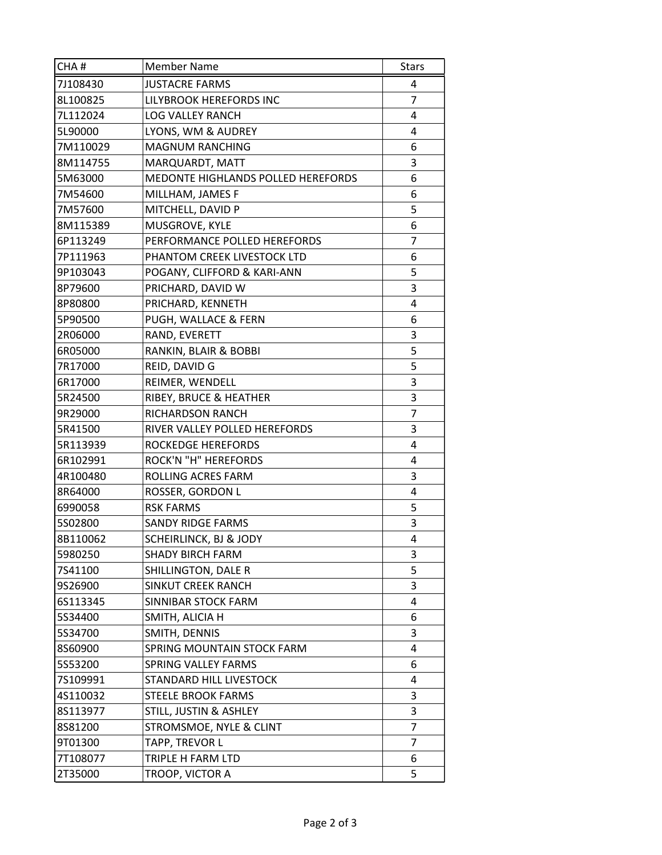| CHA#     | <b>Member Name</b>                 | <b>Stars</b>   |
|----------|------------------------------------|----------------|
| 7J108430 | <b>JUSTACRE FARMS</b>              | 4              |
| 8L100825 | LILYBROOK HEREFORDS INC            | $\overline{7}$ |
| 7L112024 | <b>LOG VALLEY RANCH</b>            | 4              |
| 5L90000  | LYONS, WM & AUDREY                 | 4              |
| 7M110029 | <b>MAGNUM RANCHING</b>             | 6              |
| 8M114755 | MARQUARDT, MATT                    | 3              |
| 5M63000  | MEDONTE HIGHLANDS POLLED HEREFORDS | 6              |
| 7M54600  | MILLHAM, JAMES F                   | 6              |
| 7M57600  | MITCHELL, DAVID P                  | 5              |
| 8M115389 | MUSGROVE, KYLE                     | 6              |
| 6P113249 | PERFORMANCE POLLED HEREFORDS       | 7              |
| 7P111963 | PHANTOM CREEK LIVESTOCK LTD        | 6              |
| 9P103043 | POGANY, CLIFFORD & KARI-ANN        | 5              |
| 8P79600  | PRICHARD, DAVID W                  | 3              |
| 8P80800  | PRICHARD, KENNETH                  | 4              |
| 5P90500  | PUGH, WALLACE & FERN               | 6              |
| 2R06000  | RAND, EVERETT                      | 3              |
| 6R05000  | RANKIN, BLAIR & BOBBI              | 5              |
| 7R17000  | REID, DAVID G                      | 5              |
| 6R17000  | REIMER, WENDELL                    | 3              |
| 5R24500  | RIBEY, BRUCE & HEATHER             | 3              |
| 9R29000  | RICHARDSON RANCH                   | 7              |
| 5R41500  | RIVER VALLEY POLLED HEREFORDS      | 3              |
| 5R113939 | ROCKEDGE HEREFORDS                 | 4              |
| 6R102991 | ROCK'N "H" HEREFORDS               | 4              |
| 4R100480 | ROLLING ACRES FARM                 | 3              |
| 8R64000  | ROSSER, GORDON L                   | 4              |
| 6990058  | <b>RSK FARMS</b>                   | 5              |
| 5S02800  | <b>SANDY RIDGE FARMS</b>           | 3              |
| 8B110062 | SCHEIRLINCK, BJ & JODY             | 4              |
| 5980250  | <b>SHADY BIRCH FARM</b>            | 3              |
| 7S41100  | SHILLINGTON, DALE R                | 5              |
| 9S26900  | SINKUT CREEK RANCH                 | 3              |
| 6S113345 | SINNIBAR STOCK FARM                | 4              |
| 5S34400  | SMITH, ALICIA H                    | 6              |
| 5S34700  | SMITH, DENNIS                      | 3              |
| 8S60900  | SPRING MOUNTAIN STOCK FARM         | 4              |
| 5S53200  | SPRING VALLEY FARMS                | 6              |
| 7S109991 | STANDARD HILL LIVESTOCK            | 4              |
| 4S110032 | <b>STEELE BROOK FARMS</b>          | 3              |
| 8S113977 | STILL, JUSTIN & ASHLEY             | 3              |
| 8S81200  | STROMSMOE, NYLE & CLINT            | 7              |
| 9T01300  | TAPP, TREVOR L                     | 7              |
| 7T108077 | TRIPLE H FARM LTD                  | 6              |
| 2T35000  | TROOP, VICTOR A                    | 5              |